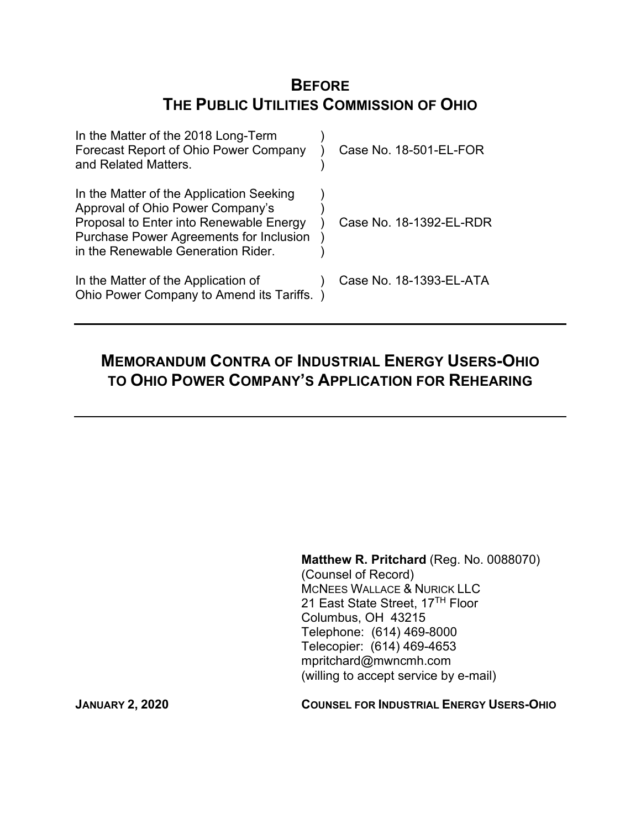# **BEFORE THE PUBLIC UTILITIES COMMISSION OF OHIO**

| In the Matter of the 2018 Long-Term<br>Forecast Report of Ohio Power Company<br>and Related Matters.                                                                                                            | Case No. 18-501-EL-FOR  |
|-----------------------------------------------------------------------------------------------------------------------------------------------------------------------------------------------------------------|-------------------------|
| In the Matter of the Application Seeking<br>Approval of Ohio Power Company's<br>Proposal to Enter into Renewable Energy<br><b>Purchase Power Agreements for Inclusion</b><br>in the Renewable Generation Rider. | Case No. 18-1392-EL-RDR |
| In the Matter of the Application of<br>Ohio Power Company to Amend its Tariffs.                                                                                                                                 | Case No. 18-1393-EL-ATA |

# **MEMORANDUM CONTRA OF INDUSTRIAL ENERGY USERS-OHIO TO OHIO POWER COMPANY'S APPLICATION FOR REHEARING**

**Matthew R. Pritchard** (Reg. No. 0088070) (Counsel of Record) MCNEES WALLACE & NURICK LLC 21 East State Street, 17<sup>TH</sup> Floor Columbus, OH 43215 Telephone: (614) 469-8000 Telecopier: (614) 469-4653 mpritchard@mwncmh.com (willing to accept service by e-mail)

**JANUARY 2, 2020 COUNSEL FOR INDUSTRIAL ENERGY USERS-OHIO**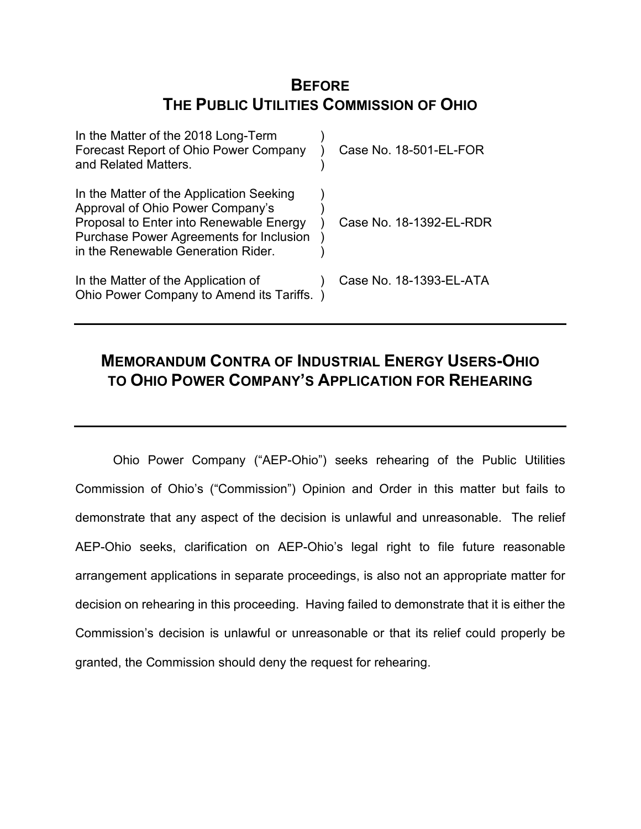# **BEFORE THE PUBLIC UTILITIES COMMISSION OF OHIO**

| In the Matter of the 2018 Long-Term<br>Forecast Report of Ohio Power Company<br>and Related Matters.                                                                                                            | Case No. 18-501-EL-FOR  |
|-----------------------------------------------------------------------------------------------------------------------------------------------------------------------------------------------------------------|-------------------------|
| In the Matter of the Application Seeking<br>Approval of Ohio Power Company's<br>Proposal to Enter into Renewable Energy<br><b>Purchase Power Agreements for Inclusion</b><br>in the Renewable Generation Rider. | Case No. 18-1392-EL-RDR |
| In the Matter of the Application of<br>Ohio Power Company to Amend its Tariffs.                                                                                                                                 | Case No. 18-1393-EL-ATA |

# **MEMORANDUM CONTRA OF INDUSTRIAL ENERGY USERS-OHIO TO OHIO POWER COMPANY'S APPLICATION FOR REHEARING**

Ohio Power Company ("AEP-Ohio") seeks rehearing of the Public Utilities Commission of Ohio's ("Commission") Opinion and Order in this matter but fails to demonstrate that any aspect of the decision is unlawful and unreasonable. The relief AEP-Ohio seeks, clarification on AEP-Ohio's legal right to file future reasonable arrangement applications in separate proceedings, is also not an appropriate matter for decision on rehearing in this proceeding. Having failed to demonstrate that it is either the Commission's decision is unlawful or unreasonable or that its relief could properly be granted, the Commission should deny the request for rehearing.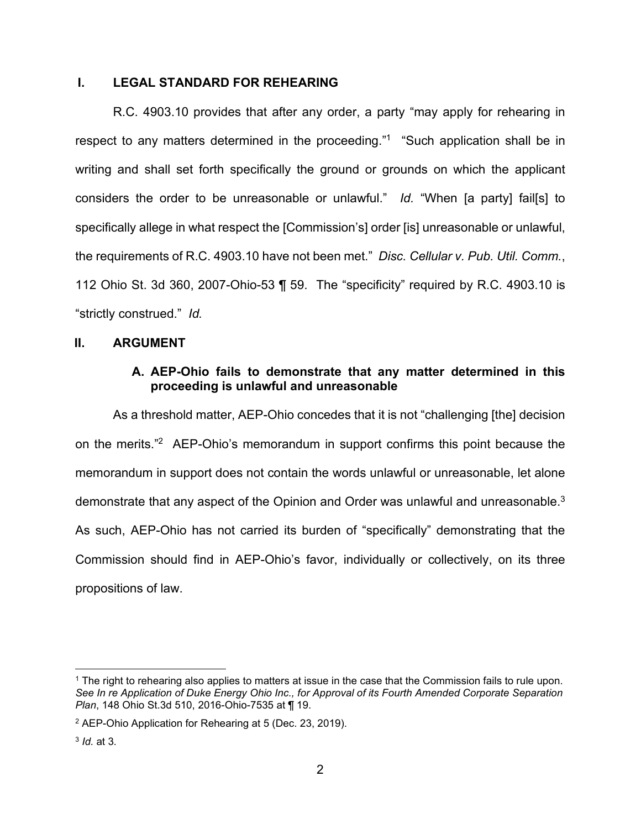# **I. LEGAL STANDARD FOR REHEARING**

R.C. 4903.10 provides that after any order, a party "may apply for rehearing in respect to any matters determined in the proceeding."<sup>1</sup> "Such application shall be in writing and shall set forth specifically the ground or grounds on which the applicant considers the order to be unreasonable or unlawful." *Id.* "When [a party] fail[s] to specifically allege in what respect the [Commission's] order [is] unreasonable or unlawful, the requirements of R.C. 4903.10 have not been met." *Disc. Cellular v. Pub. Util. Comm.*, 112 Ohio St. 3d 360, 2007-Ohio-53 ¶ 59. The "specificity" required by R.C. 4903.10 is "strictly construed." *Id.* 

## **II. ARGUMENT**

## **A. AEP-Ohio fails to demonstrate that any matter determined in this proceeding is unlawful and unreasonable**

As a threshold matter, AEP-Ohio concedes that it is not "challenging [the] decision on the merits."<sup>2</sup> AEP-Ohio's memorandum in support confirms this point because the memorandum in support does not contain the words unlawful or unreasonable, let alone demonstrate that any aspect of the Opinion and Order was unlawful and unreasonable.<sup>3</sup> As such, AEP-Ohio has not carried its burden of "specifically" demonstrating that the Commission should find in AEP-Ohio's favor, individually or collectively, on its three propositions of law.

<sup>1</sup> The right to rehearing also applies to matters at issue in the case that the Commission fails to rule upon. *See In re Application of Duke Energy Ohio Inc., for Approval of its Fourth Amended Corporate Separation Plan*, 148 Ohio St.3d 510, 2016-Ohio-7535 at ¶ 19.

<sup>2</sup> AEP-Ohio Application for Rehearing at 5 (Dec. 23, 2019).

<sup>3</sup> *Id.* at 3*.*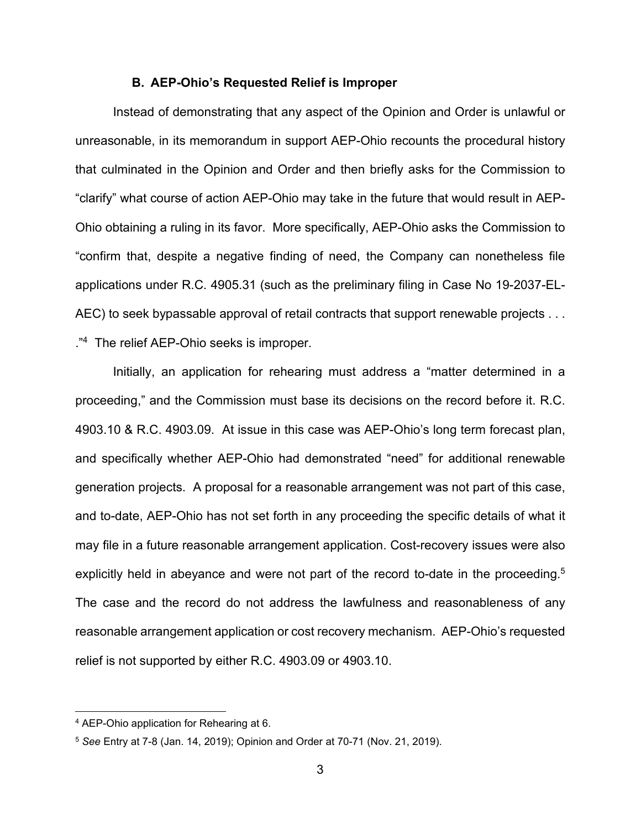#### **B. AEP-Ohio's Requested Relief is Improper**

Instead of demonstrating that any aspect of the Opinion and Order is unlawful or unreasonable, in its memorandum in support AEP-Ohio recounts the procedural history that culminated in the Opinion and Order and then briefly asks for the Commission to "clarify" what course of action AEP-Ohio may take in the future that would result in AEP-Ohio obtaining a ruling in its favor. More specifically, AEP-Ohio asks the Commission to "confirm that, despite a negative finding of need, the Company can nonetheless file applications under R.C. 4905.31 (such as the preliminary filing in Case No 19-2037-EL-AEC) to seek bypassable approval of retail contracts that support renewable projects . . . ."<sup>4</sup> The relief AEP-Ohio seeks is improper.

Initially, an application for rehearing must address a "matter determined in a proceeding," and the Commission must base its decisions on the record before it. R.C. 4903.10 & R.C. 4903.09. At issue in this case was AEP-Ohio's long term forecast plan, and specifically whether AEP-Ohio had demonstrated "need" for additional renewable generation projects. A proposal for a reasonable arrangement was not part of this case, and to-date, AEP-Ohio has not set forth in any proceeding the specific details of what it may file in a future reasonable arrangement application. Cost-recovery issues were also explicitly held in abeyance and were not part of the record to-date in the proceeding.<sup>5</sup> The case and the record do not address the lawfulness and reasonableness of any reasonable arrangement application or cost recovery mechanism. AEP-Ohio's requested relief is not supported by either R.C. 4903.09 or 4903.10.

<sup>4</sup> AEP-Ohio application for Rehearing at 6.

<sup>5</sup> *See* Entry at 7-8 (Jan. 14, 2019); Opinion and Order at 70-71 (Nov. 21, 2019).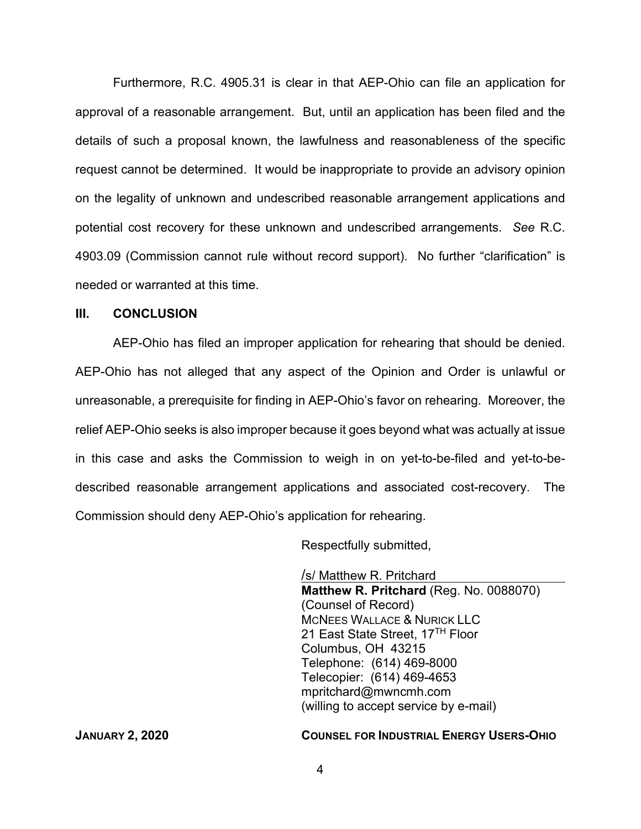Furthermore, R.C. 4905.31 is clear in that AEP-Ohio can file an application for approval of a reasonable arrangement. But, until an application has been filed and the details of such a proposal known, the lawfulness and reasonableness of the specific request cannot be determined. It would be inappropriate to provide an advisory opinion on the legality of unknown and undescribed reasonable arrangement applications and potential cost recovery for these unknown and undescribed arrangements. *See* R.C. 4903.09 (Commission cannot rule without record support). No further "clarification" is needed or warranted at this time.

## **III. CONCLUSION**

AEP-Ohio has filed an improper application for rehearing that should be denied. AEP-Ohio has not alleged that any aspect of the Opinion and Order is unlawful or unreasonable, a prerequisite for finding in AEP-Ohio's favor on rehearing. Moreover, the relief AEP-Ohio seeks is also improper because it goes beyond what was actually at issue in this case and asks the Commission to weigh in on yet-to-be-filed and yet-to-bedescribed reasonable arrangement applications and associated cost-recovery. The Commission should deny AEP-Ohio's application for rehearing.

Respectfully submitted,

/s/ Matthew R. Pritchard **Matthew R. Pritchard** (Reg. No. 0088070) (Counsel of Record) MCNEES WALLACE & NURICK LLC 21 East State Street, 17<sup>TH</sup> Floor Columbus, OH 43215 Telephone: (614) 469-8000 Telecopier: (614) 469-4653 mpritchard@mwncmh.com (willing to accept service by e-mail)

#### **JANUARY 2, 2020 COUNSEL FOR INDUSTRIAL ENERGY USERS-OHIO**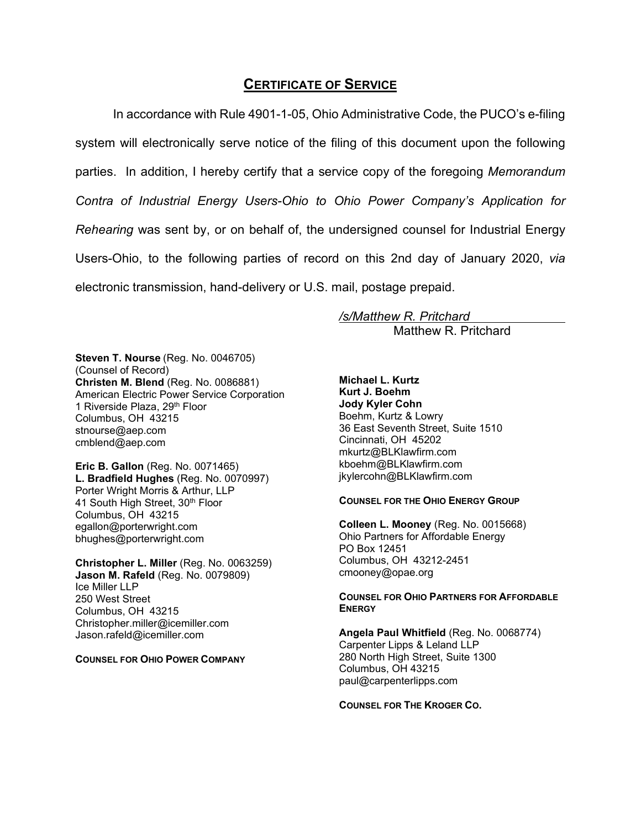## **CERTIFICATE OF SERVICE**

In accordance with Rule 4901-1-05, Ohio Administrative Code, the PUCO's e-filing system will electronically serve notice of the filing of this document upon the following parties. In addition, I hereby certify that a service copy of the foregoing *Memorandum Contra of Industrial Energy Users-Ohio to Ohio Power Company's Application for Rehearing* was sent by, or on behalf of, the undersigned counsel for Industrial Energy Users-Ohio, to the following parties of record on this 2nd day of January 2020, *via* electronic transmission, hand-delivery or U.S. mail, postage prepaid.

*/s/Matthew R. Pritchard* 

Matthew R. Pritchard

**Steven T. Nourse** (Reg. No. 0046705) (Counsel of Record) **Christen M. Blend** (Reg. No. 0086881) American Electric Power Service Corporation 1 Riverside Plaza, 29th Floor Columbus, OH 43215 stnourse@aep.com cmblend@aep.com

**Eric B. Gallon** (Reg. No. 0071465) **L. Bradfield Hughes** (Reg. No. 0070997) Porter Wright Morris & Arthur, LLP 41 South High Street, 30th Floor Columbus, OH 43215 egallon@porterwright.com bhughes@porterwright.com

**Christopher L. Miller** (Reg. No. 0063259) **Jason M. Rafeld** (Reg. No. 0079809) Ice Miller LLP 250 West Street Columbus, OH 43215 Christopher.miller@icemiller.com Jason.rafeld@icemiller.com

**COUNSEL FOR OHIO POWER COMPANY** 

**Michael L. Kurtz Kurt J. Boehm Jody Kyler Cohn**  Boehm, Kurtz & Lowry 36 East Seventh Street, Suite 1510 Cincinnati, OH 45202 mkurtz@BLKlawfirm.com kboehm@BLKlawfirm.com jkylercohn@BLKlawfirm.com

#### **COUNSEL FOR THE OHIO ENERGY GROUP**

**Colleen L. Mooney** (Reg. No. 0015668) Ohio Partners for Affordable Energy PO Box 12451 Columbus, OH 43212-2451 cmooney@opae.org

#### **COUNSEL FOR OHIO PARTNERS FOR AFFORDABLE ENERGY**

**Angela Paul Whitfield** (Reg. No. 0068774) Carpenter Lipps & Leland LLP 280 North High Street, Suite 1300 Columbus, OH 43215 paul@carpenterlipps.com

**COUNSEL FOR THE KROGER CO.**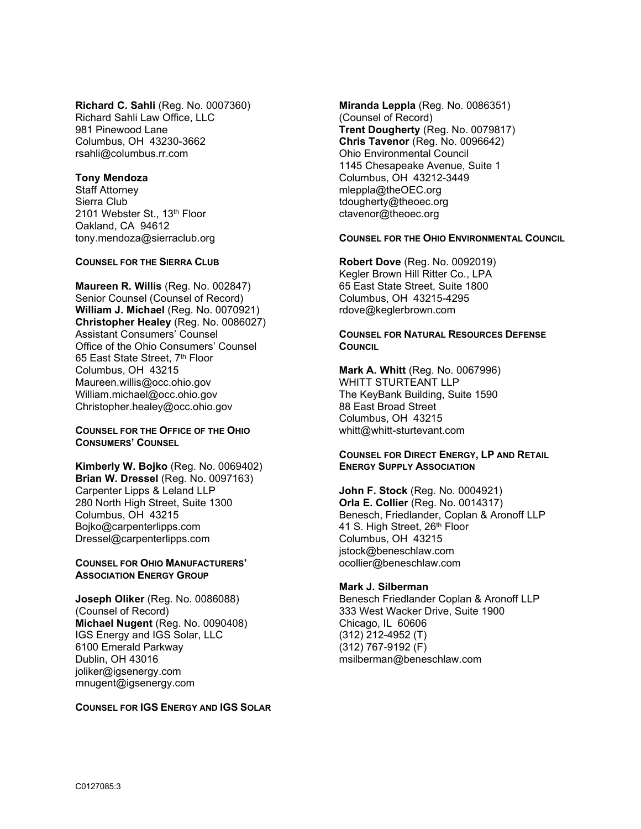**Richard C. Sahli** (Reg. No. 0007360) Richard Sahli Law Office, LLC 981 Pinewood Lane Columbus, OH 43230-3662 rsahli@columbus.rr.com

#### **Tony Mendoza**

Staff Attorney Sierra Club 2101 Webster St., 13th Floor Oakland, CA 94612 tony.mendoza@sierraclub.org

#### **COUNSEL FOR THE SIERRA CLUB**

**Maureen R. Willis** (Reg. No. 002847) Senior Counsel (Counsel of Record) **William J. Michael** (Reg. No. 0070921) **Christopher Healey** (Reg. No. 0086027) Assistant Consumers' Counsel Office of the Ohio Consumers' Counsel 65 East State Street, 7th Floor Columbus, OH 43215 Maureen.willis@occ.ohio.gov William.michael@occ.ohio.gov Christopher.healey@occ.ohio.gov

**COUNSEL FOR THE OFFICE OF THE OHIO CONSUMERS' COUNSEL**

**Kimberly W. Bojko** (Reg. No. 0069402) **Brian W. Dressel (Reg. No. 0097163)** Carpenter Lipps & Leland LLP 280 North High Street, Suite 1300 Columbus, OH 43215 Bojko@carpenterlipps.com Dressel@carpenterlipps.com

#### **COUNSEL FOR OHIO MANUFACTURERS' ASSOCIATION ENERGY GROUP**

**Joseph Oliker** (Reg. No. 0086088) (Counsel of Record) **Michael Nugent** (Reg. No. 0090408) IGS Energy and IGS Solar, LLC 6100 Emerald Parkway Dublin, OH 43016 joliker@igsenergy.com mnugent@igsenergy.com

#### **COUNSEL FOR IGS ENERGY AND IGS SOLAR**

**Miranda Leppla** (Reg. No. 0086351) (Counsel of Record) **Trent Dougherty** (Reg. No. 0079817) **Chris Tavenor** (Reg. No. 0096642) Ohio Environmental Council 1145 Chesapeake Avenue, Suite 1 Columbus, OH 43212-3449 mleppla@theOEC.org tdougherty@theoec.org ctavenor@theoec.org

**COUNSEL FOR THE OHIO ENVIRONMENTAL COUNCIL**

**Robert Dove** (Reg. No. 0092019) Kegler Brown Hill Ritter Co., LPA 65 East State Street, Suite 1800 Columbus, OH 43215-4295 rdove@keglerbrown.com

#### **COUNSEL FOR NATURAL RESOURCES DEFENSE COUNCIL**

**Mark A. Whitt** (Reg. No. 0067996) WHITT STURTEANT LLP The KeyBank Building, Suite 1590 88 East Broad Street Columbus, OH 43215 whitt@whitt-sturtevant.com

#### **COUNSEL FOR DIRECT ENERGY, LP AND RETAIL ENERGY SUPPLY ASSOCIATION**

**John F. Stock** (Reg. No. 0004921) **Orla E. Collier** (Reg. No. 0014317) Benesch, Friedlander, Coplan & Aronoff LLP 41 S. High Street, 26<sup>th</sup> Floor Columbus, OH 43215 jstock@beneschlaw.com ocollier@beneschlaw.com

#### **Mark J. Silberman**

Benesch Friedlander Coplan & Aronoff LLP 333 West Wacker Drive, Suite 1900 Chicago, IL 60606 (312) 212-4952 (T) (312) 767-9192 (F) msilberman@beneschlaw.com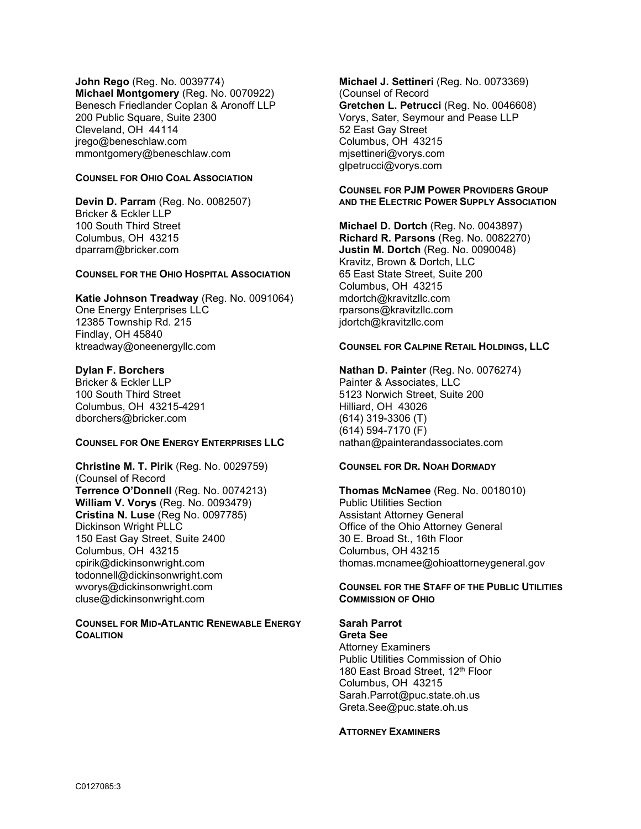**John Rego** (Reg. No. 0039774) **Michael Montgomery** (Reg. No. 0070922) Benesch Friedlander Coplan & Aronoff LLP 200 Public Square, Suite 2300 Cleveland, OH 44114 jrego@beneschlaw.com mmontgomery@beneschlaw.com

### **COUNSEL FOR OHIO COAL ASSOCIATION**

**Devin D. Parram** (Reg. No. 0082507) Bricker & Eckler LLP 100 South Third Street Columbus, OH 43215 dparram@bricker.com

#### **COUNSEL FOR THE OHIO HOSPITAL ASSOCIATION**

**Katie Johnson Treadway** (Reg. No. 0091064) One Energy Enterprises LLC 12385 Township Rd. 215 Findlay, OH 45840 ktreadway@oneenergyllc.com

#### **Dylan F. Borchers**

Bricker & Eckler LLP 100 South Third Street Columbus, OH 43215-4291 dborchers@bricker.com

#### **COUNSEL FOR ONE ENERGY ENTERPRISES LLC**

**Christine M. T. Pirik** (Reg. No. 0029759) (Counsel of Record **Terrence O'Donnell** (Reg. No. 0074213) **William V. Vorys** (Reg. No. 0093479) **Cristina N. Luse** (Reg No. 0097785) Dickinson Wright PLLC 150 East Gay Street, Suite 2400 Columbus, OH 43215 cpirik@dickinsonwright.com todonnell@dickinsonwright.com wvorys@dickinsonwright.com cluse@dickinsonwright.com

#### **COUNSEL FOR MID-ATLANTIC RENEWABLE ENERGY COALITION**

**Michael J. Settineri** (Reg. No. 0073369) (Counsel of Record **Gretchen L. Petrucci** (Reg. No. 0046608) Vorys, Sater, Seymour and Pease LLP 52 East Gay Street Columbus, OH 43215 mjsettineri@vorys.com glpetrucci@vorys.com

#### **COUNSEL FOR PJM POWER PROVIDERS GROUP AND THE ELECTRIC POWER SUPPLY ASSOCIATION**

**Michael D. Dortch** (Reg. No. 0043897) **Richard R. Parsons** (Reg. No. 0082270) **Justin M. Dortch** (Reg. No. 0090048) Kravitz, Brown & Dortch, LLC 65 East State Street, Suite 200 Columbus, OH 43215 mdortch@kravitzllc.com rparsons@kravitzllc.com jdortch@kravitzllc.com

#### **COUNSEL FOR CALPINE RETAIL HOLDINGS, LLC**

**Nathan D. Painter** (Reg. No. 0076274) Painter & Associates, LLC 5123 Norwich Street, Suite 200 Hilliard, OH 43026 (614) 319-3306 (T) (614) 594-7170 (F) nathan@painterandassociates.com

#### **COUNSEL FOR DR. NOAH DORMADY**

**Thomas McNamee** (Reg. No. 0018010) Public Utilities Section Assistant Attorney General Office of the Ohio Attorney General 30 E. Broad St., 16th Floor Columbus, OH 43215 thomas.mcnamee@ohioattorneygeneral.gov

#### **COUNSEL FOR THE STAFF OF THE PUBLIC UTILITIES COMMISSION OF OHIO**

### **Sarah Parrot**

**Greta See**  Attorney Examiners Public Utilities Commission of Ohio 180 East Broad Street, 12<sup>th</sup> Floor Columbus, OH 43215 Sarah.Parrot@puc.state.oh.us Greta.See@puc.state.oh.us

#### **ATTORNEY EXAMINERS**